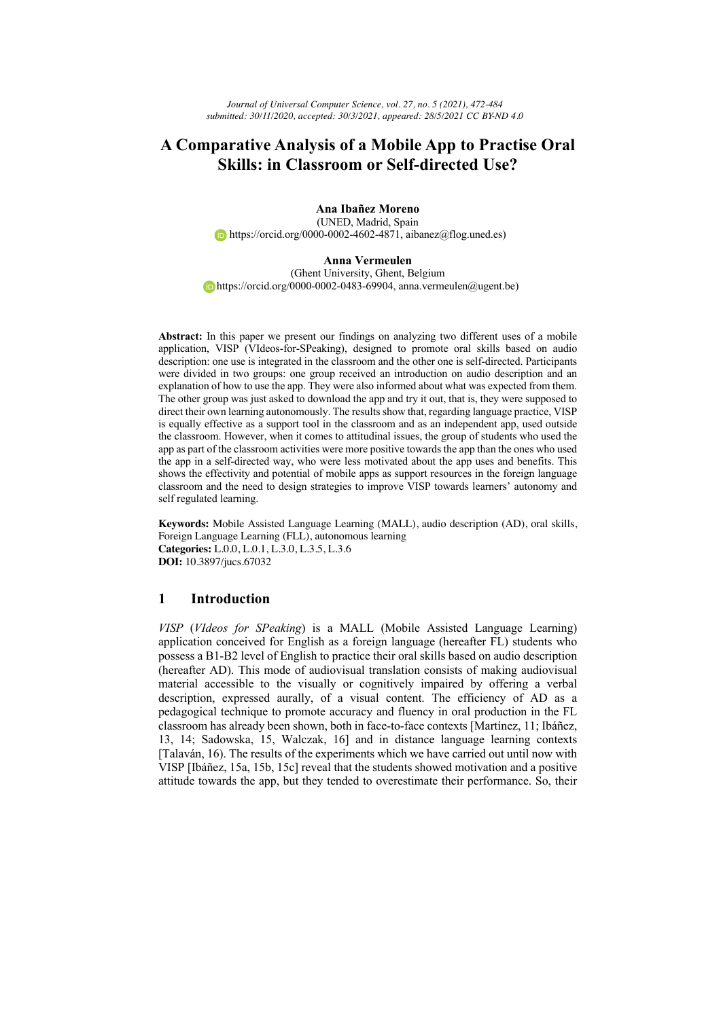# **A Comparative Analysis of a Mobile App to Practise Oral Skills: in Classroom or Self-directed Use?**

**Ana Ibañez Moreno** (UNED, Madrid, Spain https://orcid.org/0000-0002-4602-4871, aibanez@flog.uned.es)

#### **Anna Vermeulen**

(Ghent University, Ghent, Belgium https://orcid.org/0000-0002-0483-69904, anna.vermeulen@ugent.be)

**Abstract:** In this paper we present our findings on analyzing two different uses of a mobile application, VISP (VIdeos-for-SPeaking), designed to promote oral skills based on audio description: one use is integrated in the classroom and the other one is self-directed. Participants were divided in two groups: one group received an introduction on audio description and an explanation of how to use the app. They were also informed about what was expected from them. The other group was just asked to download the app and try it out, that is, they were supposed to direct their own learning autonomously. The results show that, regarding language practice, VISP is equally effective as a support tool in the classroom and as an independent app, used outside the classroom. However, when it comes to attitudinal issues, the group of students who used the app as part of the classroom activities were more positive towards the app than the ones who used the app in a self-directed way, who were less motivated about the app uses and benefits. This shows the effectivity and potential of mobile apps as support resources in the foreign language classroom and the need to design strategies to improve VISP towards learners' autonomy and self regulated learning.

**Keywords:** Mobile Assisted Language Learning (MALL), audio description (AD), oral skills, Foreign Language Learning (FLL), autonomous learning **Categories:** L.0.0, L.0.1, L.3.0, L.3.5, L.3.6 **DOI:** 10.3897/jucs.67032

## **1 Introduction**

*VISP* (*VIdeos for SPeaking*) is a MALL (Mobile Assisted Language Learning) application conceived for English as a foreign language (hereafter FL) students who possess a B1-B2 level of English to practice their oral skills based on audio description (hereafter AD). This mode of audiovisual translation consists of making audiovisual material accessible to the visually or cognitively impaired by offering a verbal description, expressed aurally, of a visual content. The efficiency of AD as a pedagogical technique to promote accuracy and fluency in oral production in the FL classroom has already been shown, both in face-to-face contexts [Martínez, 11; Ibáñez, 13, 14; Sadowska, 15, Walczak, 16] and in distance language learning contexts [Talaván, 16). The results of the experiments which we have carried out until now with VISP [Ibáñez, 15a, 15b, 15c] reveal that the students showed motivation and a positive attitude towards the app, but they tended to overestimate their performance. So, their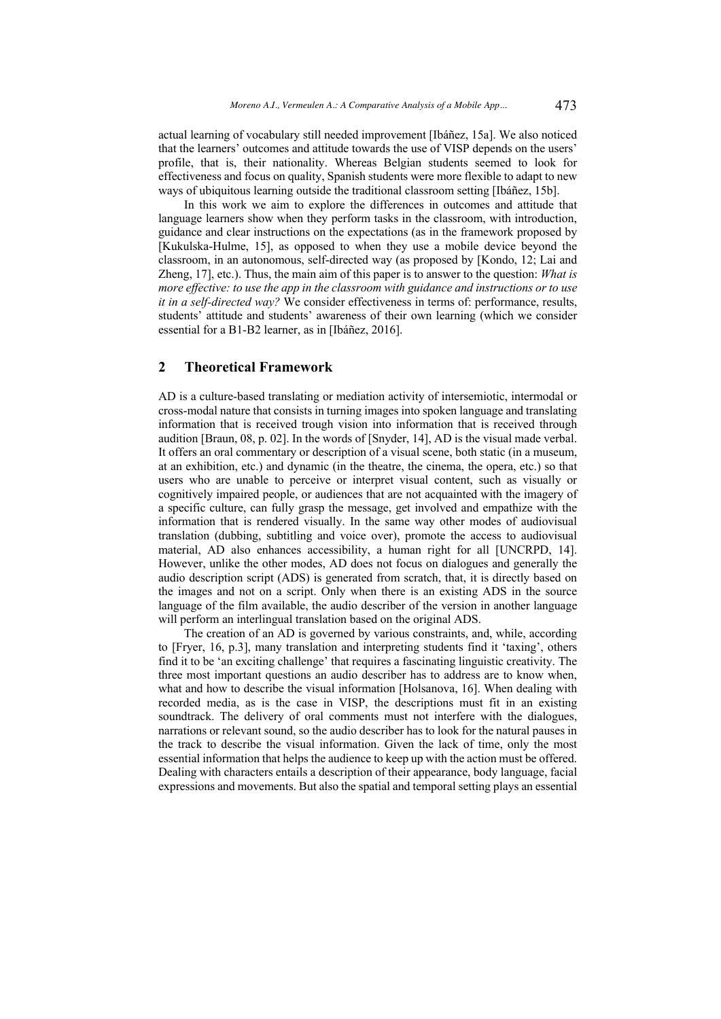actual learning of vocabulary still needed improvement [Ibáñez, 15a]. We also noticed that the learners' outcomes and attitude towards the use of VISP depends on the users' profile, that is, their nationality. Whereas Belgian students seemed to look for effectiveness and focus on quality, Spanish students were more flexible to adapt to new ways of ubiquitous learning outside the traditional classroom setting [Ibáñez, 15b].

In this work we aim to explore the differences in outcomes and attitude that language learners show when they perform tasks in the classroom, with introduction, guidance and clear instructions on the expectations (as in the framework proposed by [Kukulska-Hulme, 15], as opposed to when they use a mobile device beyond the classroom, in an autonomous, self-directed way (as proposed by [Kondo, 12; Lai and Zheng, 17], etc.). Thus, the main aim of this paper is to answer to the question: *What is more effective: to use the app in the classroom with guidance and instructions or to use it in a self-directed way?* We consider effectiveness in terms of: performance, results, students' attitude and students' awareness of their own learning (which we consider essential for a B1-B2 learner, as in [Ibáñez, 2016].

## **2 Theoretical Framework**

AD is a culture-based translating or mediation activity of intersemiotic, intermodal or cross-modal nature that consists in turning images into spoken language and translating information that is received trough vision into information that is received through audition [Braun, 08, p. 02]. In the words of [Snyder, 14], AD is the visual made verbal. It offers an oral commentary or description of a visual scene, both static (in a museum, at an exhibition, etc.) and dynamic (in the theatre, the cinema, the opera, etc.) so that users who are unable to perceive or interpret visual content, such as visually or cognitively impaired people, or audiences that are not acquainted with the imagery of a specific culture, can fully grasp the message, get involved and empathize with the information that is rendered visually. In the same way other modes of audiovisual translation (dubbing, subtitling and voice over), promote the access to audiovisual material, AD also enhances accessibility, a human right for all [UNCRPD, 14]. However, unlike the other modes, AD does not focus on dialogues and generally the audio description script (ADS) is generated from scratch, that, it is directly based on the images and not on a script. Only when there is an existing ADS in the source language of the film available, the audio describer of the version in another language will perform an interlingual translation based on the original ADS.

The creation of an AD is governed by various constraints, and, while, according to [Fryer, 16, p.3], many translation and interpreting students find it 'taxing', others find it to be 'an exciting challenge' that requires a fascinating linguistic creativity. The three most important questions an audio describer has to address are to know when, what and how to describe the visual information [Holsanova, 16]. When dealing with recorded media, as is the case in VISP, the descriptions must fit in an existing soundtrack. The delivery of oral comments must not interfere with the dialogues, narrations or relevant sound, so the audio describer has to look for the natural pauses in the track to describe the visual information. Given the lack of time, only the most essential information that helps the audience to keep up with the action must be offered. Dealing with characters entails a description of their appearance, body language, facial expressions and movements. But also the spatial and temporal setting plays an essential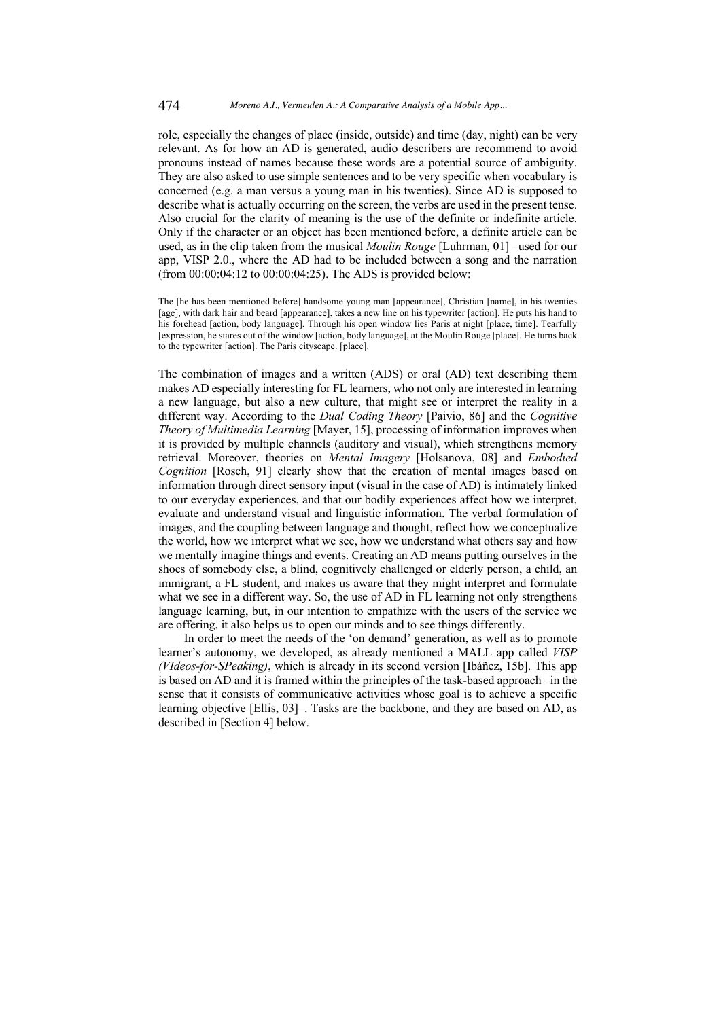role, especially the changes of place (inside, outside) and time (day, night) can be very relevant. As for how an AD is generated, audio describers are recommend to avoid pronouns instead of names because these words are a potential source of ambiguity. They are also asked to use simple sentences and to be very specific when vocabulary is concerned (e.g. a man versus a young man in his twenties). Since AD is supposed to describe what is actually occurring on the screen, the verbs are used in the present tense. Also crucial for the clarity of meaning is the use of the definite or indefinite article. Only if the character or an object has been mentioned before, a definite article can be used, as in the clip taken from the musical *Moulin Rouge* [Luhrman, 01] –used for our app, VISP 2.0., where the AD had to be included between a song and the narration (from 00:00:04:12 to 00:00:04:25). The ADS is provided below:

The [he has been mentioned before] handsome young man [appearance], Christian [name], in his twenties [age], with dark hair and beard [appearance], takes a new line on his typewriter [action]. He puts his hand to his forehead [action, body language]. Through his open window lies Paris at night [place, time]. Tearfully [expression, he stares out of the window [action, body language], at the Moulin Rouge [place]. He turns back to the typewriter [action]. The Paris cityscape. [place].

The combination of images and a written (ADS) or oral (AD) text describing them makes AD especially interesting for FL learners, who not only are interested in learning a new language, but also a new culture, that might see or interpret the reality in a different way. According to the *Dual Coding Theory* [Paivio, 86] and the *Cognitive Theory of Multimedia Learning* [Mayer, 15], processing of information improves when it is provided by multiple channels (auditory and visual), which strengthens memory retrieval. Moreover, theories on *Mental Imagery* [Holsanova, 08] and *Embodied Cognition* [Rosch, 91] clearly show that the creation of mental images based on information through direct sensory input (visual in the case of AD) is intimately linked to our everyday experiences, and that our bodily experiences affect how we interpret, evaluate and understand visual and linguistic information. The verbal formulation of images, and the coupling between language and thought, reflect how we conceptualize the world, how we interpret what we see, how we understand what others say and how we mentally imagine things and events. Creating an AD means putting ourselves in the shoes of somebody else, a blind, cognitively challenged or elderly person, a child, an immigrant, a FL student, and makes us aware that they might interpret and formulate what we see in a different way. So, the use of AD in FL learning not only strengthens language learning, but, in our intention to empathize with the users of the service we are offering, it also helps us to open our minds and to see things differently.

In order to meet the needs of the 'on demand' generation, as well as to promote learner's autonomy, we developed, as already mentioned a MALL app called *VISP (VIdeos-for-SPeaking)*, which is already in its second version [Ibáñez, 15b]. This app is based on AD and it is framed within the principles of the task-based approach –in the sense that it consists of communicative activities whose goal is to achieve a specific learning objective [Ellis, 03]–. Tasks are the backbone, and they are based on AD, as described in [Section 4] below.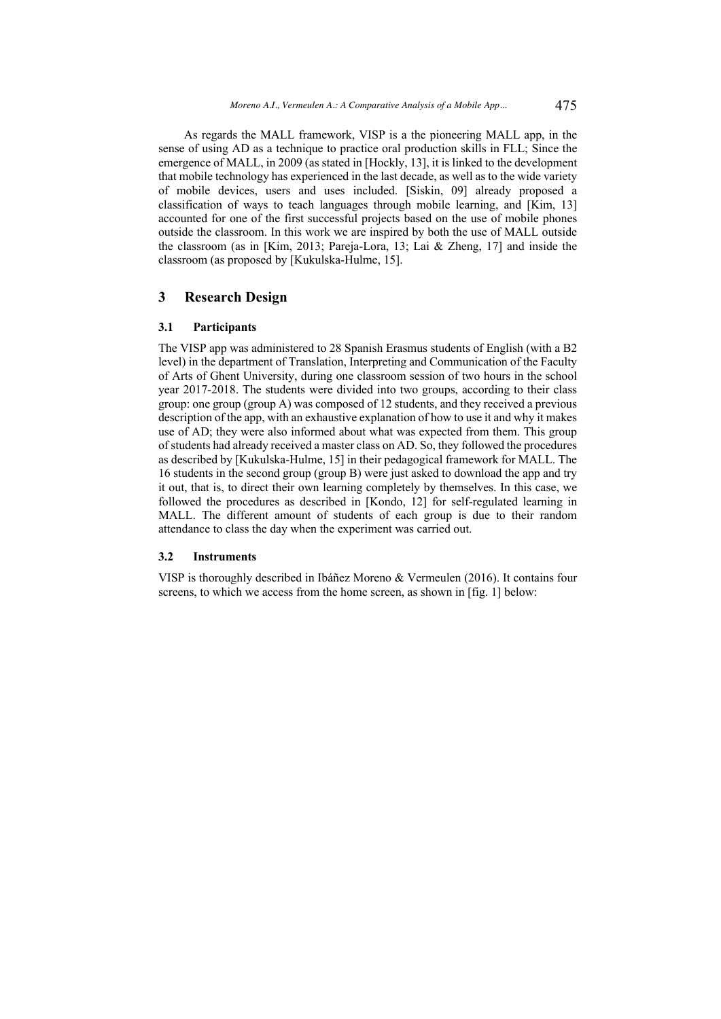As regards the MALL framework, VISP is a the pioneering MALL app, in the sense of using AD as a technique to practice oral production skills in FLL; Since the emergence of MALL, in 2009 (as stated in [Hockly, 13], it is linked to the development that mobile technology has experienced in the last decade, as well as to the wide variety of mobile devices, users and uses included. [Siskin, 09] already proposed a classification of ways to teach languages through mobile learning, and [Kim, 13] accounted for one of the first successful projects based on the use of mobile phones outside the classroom. In this work we are inspired by both the use of MALL outside the classroom (as in [Kim, 2013; Pareja-Lora, 13; Lai & Zheng, 17] and inside the classroom (as proposed by [Kukulska-Hulme, 15].

### **3 Research Design**

#### **3.1 Participants**

The VISP app was administered to 28 Spanish Erasmus students of English (with a B2 level) in the department of Translation, Interpreting and Communication of the Faculty of Arts of Ghent University, during one classroom session of two hours in the school year 2017-2018. The students were divided into two groups, according to their class group: one group (group A) was composed of 12 students, and they received a previous description of the app, with an exhaustive explanation of how to use it and why it makes use of AD; they were also informed about what was expected from them. This group of students had already received a master class on AD. So, they followed the procedures as described by [Kukulska-Hulme, 15] in their pedagogical framework for MALL. The 16 students in the second group (group B) were just asked to download the app and try it out, that is, to direct their own learning completely by themselves. In this case, we followed the procedures as described in [Kondo, 12] for self-regulated learning in MALL. The different amount of students of each group is due to their random attendance to class the day when the experiment was carried out.

#### **3.2 Instruments**

VISP is thoroughly described in Ibáñez Moreno & Vermeulen (2016). It contains four screens, to which we access from the home screen, as shown in [fig. 1] below: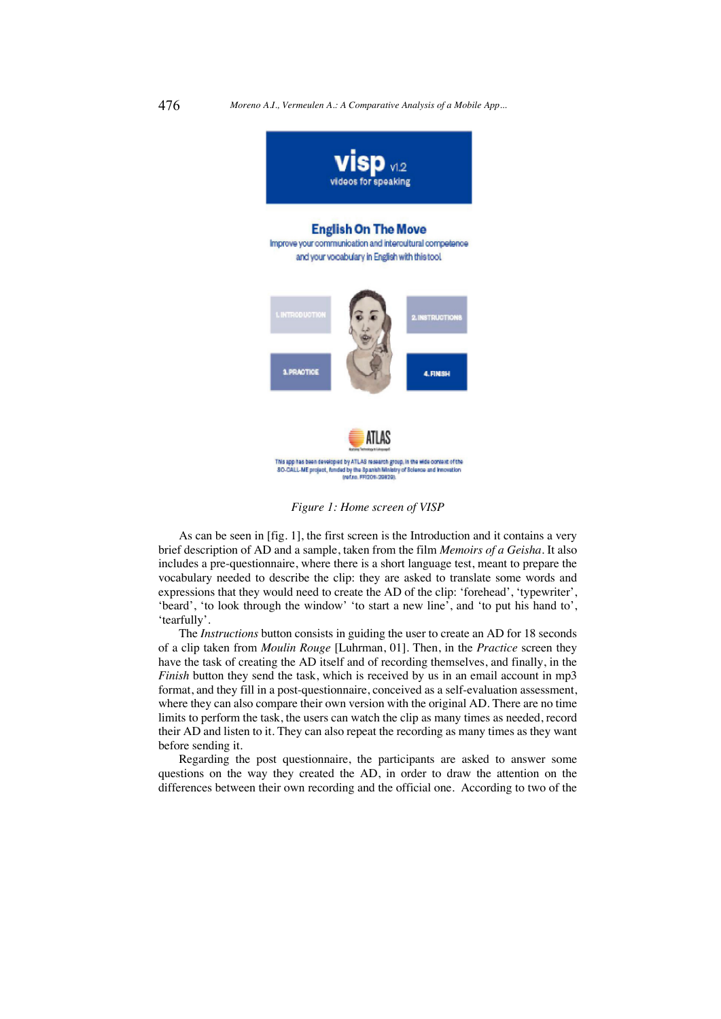

*Figure 1: Home screen of VISP*

As can be seen in [fig. 1], the first screen is the Introduction and it contains a very brief description of AD and a sample, taken from the film *Memoirs of a Geisha*. It also includes a pre-questionnaire, where there is a short language test, meant to prepare the vocabulary needed to describe the clip: they are asked to translate some words and expressions that they would need to create the AD of the clip: 'forehead', 'typewriter', 'beard', 'to look through the window' 'to start a new line', and 'to put his hand to', 'tearfully'.

The *Instructions* button consists in guiding the user to create an AD for 18 seconds of a clip taken from *Moulin Rouge* [Luhrman, 01]. Then, in the *Practice* screen they have the task of creating the AD itself and of recording themselves, and finally, in the *Finish* button they send the task, which is received by us in an email account in mp3 format, and they fill in a post-questionnaire, conceived as a self-evaluation assessment, where they can also compare their own version with the original AD. There are no time limits to perform the task, the users can watch the clip as many times as needed, record their AD and listen to it. They can also repeat the recording as many times as they want before sending it.

Regarding the post questionnaire, the participants are asked to answer some questions on the way they created the AD, in order to draw the attention on the differences between their own recording and the official one. According to two of the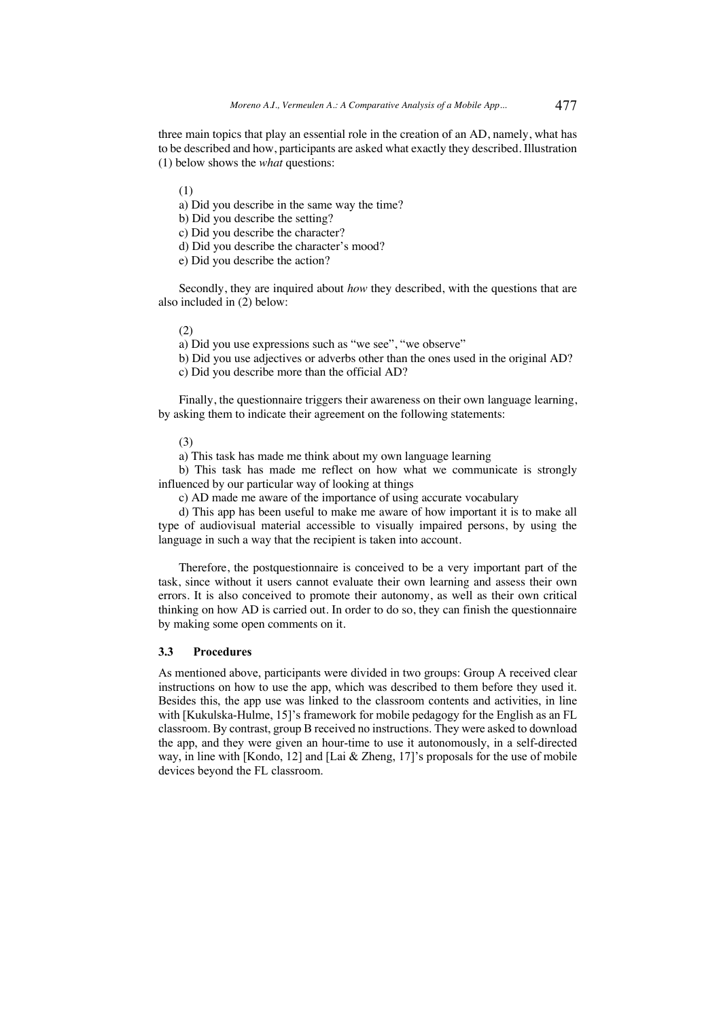three main topics that play an essential role in the creation of an AD, namely, what has to be described and how, participants are asked what exactly they described. Illustration (1) below shows the *what* questions:

(1)

a) Did you describe in the same way the time?

b) Did you describe the setting?

c) Did you describe the character?

d) Did you describe the character's mood?

e) Did you describe the action?

Secondly, they are inquired about *how* they described, with the questions that are also included in (2) below:

(2)

a) Did you use expressions such as "we see", "we observe"

b) Did you use adjectives or adverbs other than the ones used in the original AD?

c) Did you describe more than the official AD?

Finally, the questionnaire triggers their awareness on their own language learning, by asking them to indicate their agreement on the following statements:

(3)

a) This task has made me think about my own language learning

b) This task has made me reflect on how what we communicate is strongly influenced by our particular way of looking at things

c) AD made me aware of the importance of using accurate vocabulary

d) This app has been useful to make me aware of how important it is to make all type of audiovisual material accessible to visually impaired persons, by using the language in such a way that the recipient is taken into account.

Therefore, the postquestionnaire is conceived to be a very important part of the task, since without it users cannot evaluate their own learning and assess their own errors. It is also conceived to promote their autonomy, as well as their own critical thinking on how AD is carried out. In order to do so, they can finish the questionnaire by making some open comments on it.

#### **3.3 Procedures**

As mentioned above, participants were divided in two groups: Group A received clear instructions on how to use the app, which was described to them before they used it. Besides this, the app use was linked to the classroom contents and activities, in line with [Kukulska-Hulme, 15]'s framework for mobile pedagogy for the English as an FL classroom. By contrast, group B received no instructions. They were asked to download the app, and they were given an hour-time to use it autonomously, in a self-directed way, in line with [Kondo, 12] and [Lai & Zheng, 17]'s proposals for the use of mobile devices beyond the FL classroom.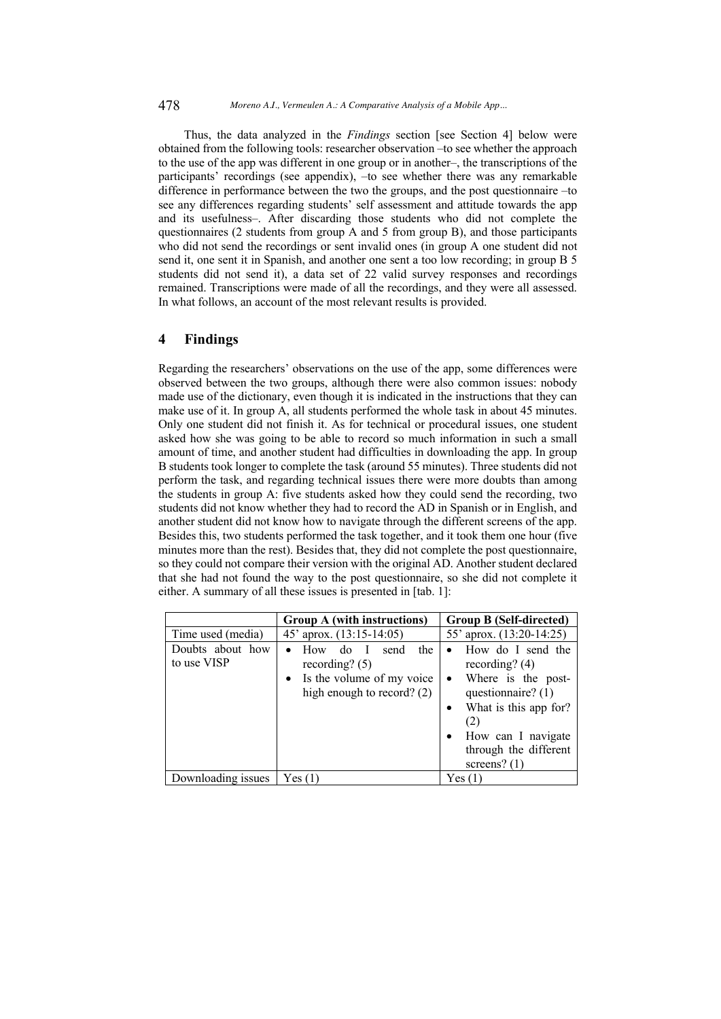#### 478 *Moreno A.I., Vermeulen A.: A Comparative Analysis of a Mobile App...*

Thus, the data analyzed in the *Findings* section [see Section 4] below were obtained from the following tools: researcher observation –to see whether the approach to the use of the app was different in one group or in another–, the transcriptions of the participants' recordings (see appendix), –to see whether there was any remarkable difference in performance between the two the groups, and the post questionnaire –to see any differences regarding students' self assessment and attitude towards the app and its usefulness–. After discarding those students who did not complete the questionnaires (2 students from group A and 5 from group B), and those participants who did not send the recordings or sent invalid ones (in group A one student did not send it, one sent it in Spanish, and another one sent a too low recording; in group B 5 students did not send it), a data set of 22 valid survey responses and recordings remained. Transcriptions were made of all the recordings, and they were all assessed. In what follows, an account of the most relevant results is provided.

## **4 Findings**

Regarding the researchers' observations on the use of the app, some differences were observed between the two groups, although there were also common issues: nobody made use of the dictionary, even though it is indicated in the instructions that they can make use of it. In group A, all students performed the whole task in about 45 minutes. Only one student did not finish it. As for technical or procedural issues, one student asked how she was going to be able to record so much information in such a small amount of time, and another student had difficulties in downloading the app. In group B students took longer to complete the task (around 55 minutes). Three students did not perform the task, and regarding technical issues there were more doubts than among the students in group A: five students asked how they could send the recording, two students did not know whether they had to record the AD in Spanish or in English, and another student did not know how to navigate through the different screens of the app. Besides this, two students performed the task together, and it took them one hour (five minutes more than the rest). Besides that, they did not complete the post questionnaire, so they could not compare their version with the original AD. Another student declared that she had not found the way to the post questionnaire, so she did not complete it either. A summary of all these issues is presented in [tab. 1]:

|                                 | Group A (with instructions)                                                                                  | <b>Group B (Self-directed)</b>                                                                                                                                                                                                         |  |
|---------------------------------|--------------------------------------------------------------------------------------------------------------|----------------------------------------------------------------------------------------------------------------------------------------------------------------------------------------------------------------------------------------|--|
| Time used (media)               | 45' aprox. (13:15-14:05)                                                                                     | 55' aprox. (13:20-14:25)                                                                                                                                                                                                               |  |
| Doubts about how<br>to use VISP | How<br>do.<br>send<br>the<br>recording? $(5)$<br>• Is the volume of my voice<br>high enough to record? $(2)$ | How do I send the<br>$\bullet$<br>recording? $(4)$<br>Where is the post-<br>$\bullet$<br>questionnaire? (1)<br>What is this app for?<br>$\bullet$<br>(2)<br>How can I navigate<br>$\bullet$<br>through the different<br>screens? $(1)$ |  |
| Downloading issues              | Yes(1)                                                                                                       | Yes(1)                                                                                                                                                                                                                                 |  |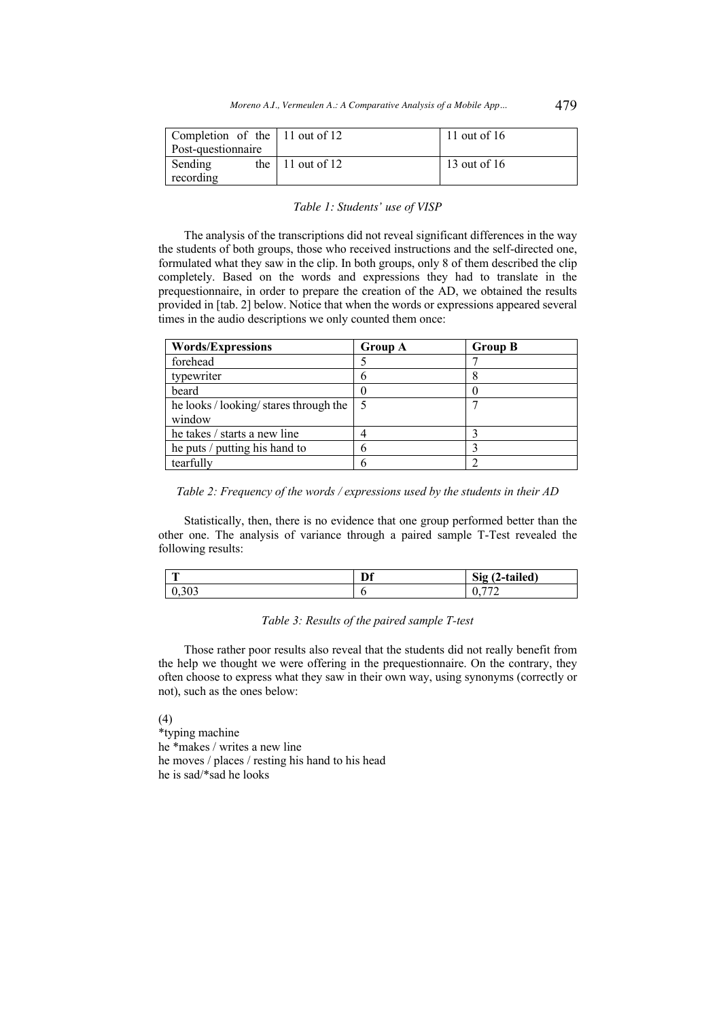| Completion of the 11 out of 12 |                          | 11 out of $16$ |
|--------------------------------|--------------------------|----------------|
| Post-questionnaire             |                          |                |
| Sending                        | the $\vert$ 11 out of 12 | 13 out of 16   |
| recording                      |                          |                |

#### *Table 1: Students' use of VISP*

The analysis of the transcriptions did not reveal significant differences in the way the students of both groups, those who received instructions and the self-directed one, formulated what they saw in the clip. In both groups, only 8 of them described the clip completely. Based on the words and expressions they had to translate in the prequestionnaire, in order to prepare the creation of the AD, we obtained the results provided in [tab. 2] below. Notice that when the words or expressions appeared several times in the audio descriptions we only counted them once:

| <b>Words/Expressions</b>               | <b>Group A</b> | <b>Group B</b> |
|----------------------------------------|----------------|----------------|
| forehead                               |                |                |
| typewriter                             |                |                |
| beard                                  |                |                |
| he looks / looking/ stares through the | 5              |                |
| window                                 |                |                |
| he takes / starts a new line           |                |                |
| he puts / putting his hand to          | n              |                |
| tearfully                              |                |                |

*Table 2: Frequency of the words / expressions used by the students in their AD*

Statistically, then, there is no evidence that one group performed better than the other one. The analysis of variance through a paired sample T-Test revealed the following results:

| $\overline{\phantom{a}}$ | Df | (2-tailed)<br>Sig (<br>$\epsilon$ |
|--------------------------|----|-----------------------------------|
| 0,303                    |    | $- - -$<br>v.                     |

## *Table 3: Results of the paired sample T-test*

Those rather poor results also reveal that the students did not really benefit from the help we thought we were offering in the prequestionnaire. On the contrary, they often choose to express what they saw in their own way, using synonyms (correctly or not), such as the ones below:

(4)

\*typing machine he \*makes / writes a new line he moves / places / resting his hand to his head he is sad/\*sad he looks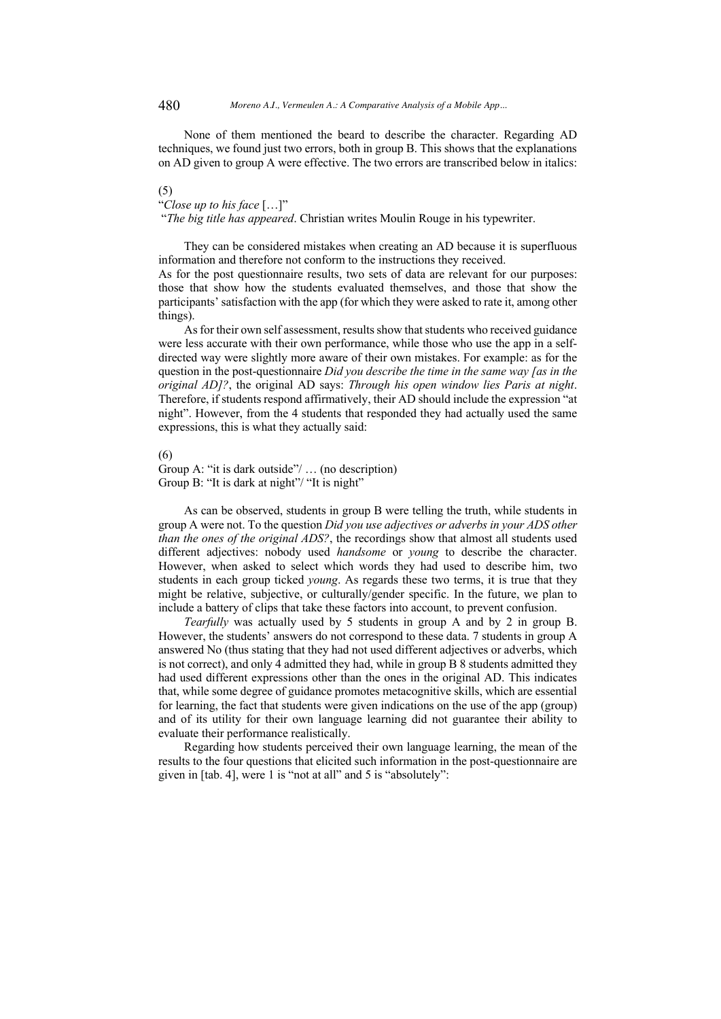None of them mentioned the beard to describe the character. Regarding AD techniques, we found just two errors, both in group B. This shows that the explanations on AD given to group A were effective. The two errors are transcribed below in italics:

(5)

"*Close up to his face* […]"

"*The big title has appeared*. Christian writes Moulin Rouge in his typewriter.

They can be considered mistakes when creating an AD because it is superfluous information and therefore not conform to the instructions they received. As for the post questionnaire results, two sets of data are relevant for our purposes:

those that show how the students evaluated themselves, and those that show the participants' satisfaction with the app (for which they were asked to rate it, among other things).

As for their own self assessment, results show that students who received guidance were less accurate with their own performance, while those who use the app in a selfdirected way were slightly more aware of their own mistakes. For example: as for the question in the post-questionnaire *Did you describe the time in the same way [as in the original AD]?*, the original AD says: *Through his open window lies Paris at night*. Therefore, if students respond affirmatively, their AD should include the expression "at night". However, from the 4 students that responded they had actually used the same expressions, this is what they actually said:

#### (6)

Group A: "it is dark outside"/ … (no description) Group B: "It is dark at night"/ "It is night"

As can be observed, students in group B were telling the truth, while students in group A were not. To the question *Did you use adjectives or adverbs in your ADS other than the ones of the original ADS?*, the recordings show that almost all students used different adjectives: nobody used *handsome* or *young* to describe the character. However, when asked to select which words they had used to describe him, two students in each group ticked *young*. As regards these two terms, it is true that they might be relative, subjective, or culturally/gender specific. In the future, we plan to include a battery of clips that take these factors into account, to prevent confusion.

*Tearfully* was actually used by 5 students in group A and by 2 in group B. However, the students' answers do not correspond to these data. 7 students in group A answered No (thus stating that they had not used different adjectives or adverbs, which is not correct), and only 4 admitted they had, while in group B 8 students admitted they had used different expressions other than the ones in the original AD. This indicates that, while some degree of guidance promotes metacognitive skills, which are essential for learning, the fact that students were given indications on the use of the app (group) and of its utility for their own language learning did not guarantee their ability to evaluate their performance realistically.

Regarding how students perceived their own language learning, the mean of the results to the four questions that elicited such information in the post-questionnaire are given in [tab. 4], were 1 is "not at all" and 5 is "absolutely":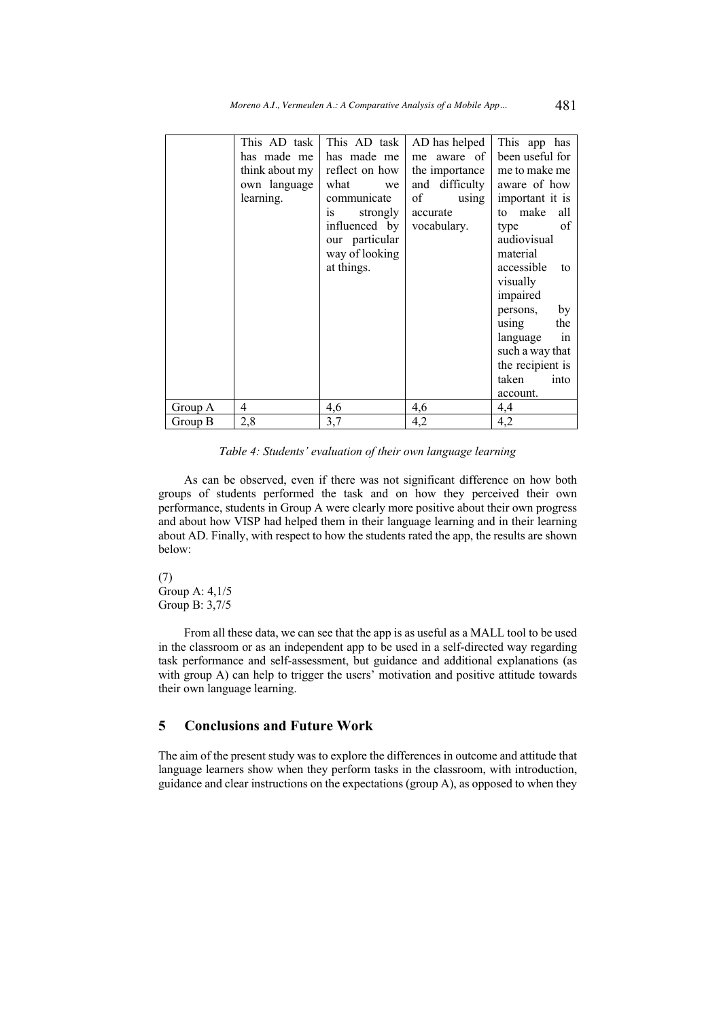|         | This AD task I<br>has made me<br>think about my<br>own language<br>learning. | This AD task<br>has made me<br>reflect on how<br>what<br>we<br>communicate<br>strongly<br>1S<br>influenced by<br>our particular<br>way of looking<br>at things. | AD has helped<br>me aware of<br>the importance<br>and difficulty<br>of<br>using<br>accurate<br>vocabulary. | This app has<br>been useful for<br>me to make me<br>aware of how<br>important it is<br>to make<br>all<br>of<br>type<br>audiovisual<br>material<br>accessible<br>to<br>visually<br>impaired<br>by<br>persons,<br>the<br>using<br>language<br>in<br>such a way that<br>the recipient is<br>taken<br>into<br>account. |
|---------|------------------------------------------------------------------------------|-----------------------------------------------------------------------------------------------------------------------------------------------------------------|------------------------------------------------------------------------------------------------------------|--------------------------------------------------------------------------------------------------------------------------------------------------------------------------------------------------------------------------------------------------------------------------------------------------------------------|
| Group A | 4                                                                            | 4,6                                                                                                                                                             | 4,6                                                                                                        | 4,4                                                                                                                                                                                                                                                                                                                |
| Group B | 2,8                                                                          | 3,7                                                                                                                                                             | 4,2                                                                                                        | 4,2                                                                                                                                                                                                                                                                                                                |
|         |                                                                              |                                                                                                                                                                 |                                                                                                            |                                                                                                                                                                                                                                                                                                                    |

*Table 4: Students' evaluation of their own language learning*

As can be observed, even if there was not significant difference on how both groups of students performed the task and on how they perceived their own performance, students in Group A were clearly more positive about their own progress and about how VISP had helped them in their language learning and in their learning about AD. Finally, with respect to how the students rated the app, the results are shown below:

(7) Group A: 4,1/5 Group B: 3,7/5

From all these data, we can see that the app is as useful as a MALL tool to be used in the classroom or as an independent app to be used in a self-directed way regarding task performance and self-assessment, but guidance and additional explanations (as with group A) can help to trigger the users' motivation and positive attitude towards their own language learning.

## **5 Conclusions and Future Work**

The aim of the present study was to explore the differences in outcome and attitude that language learners show when they perform tasks in the classroom, with introduction, guidance and clear instructions on the expectations (group A), as opposed to when they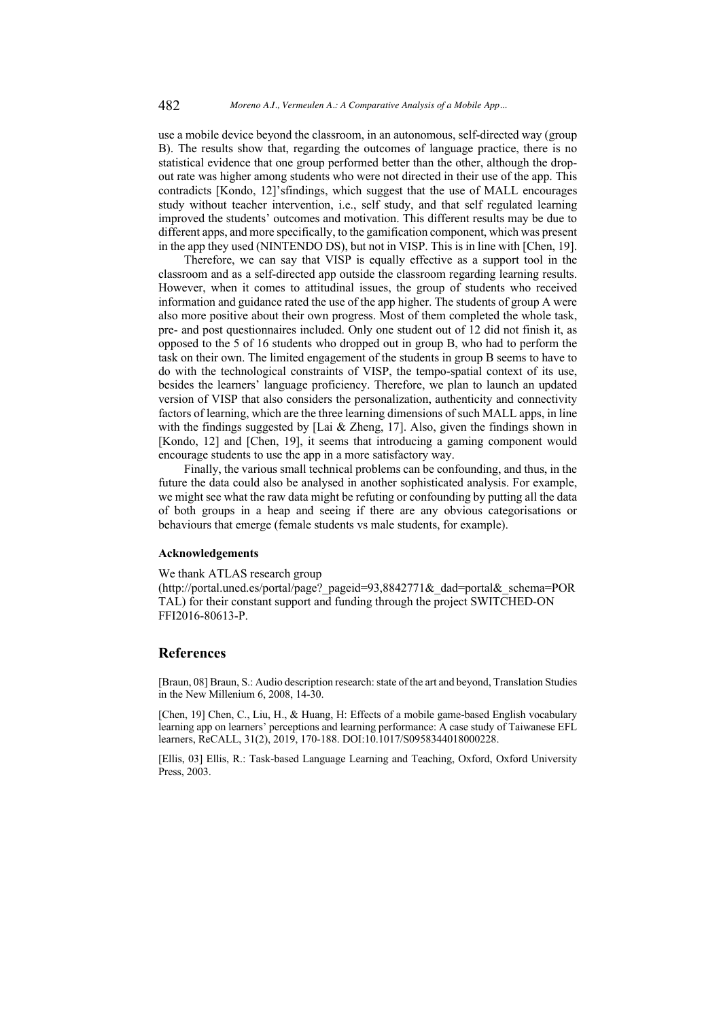use a mobile device beyond the classroom, in an autonomous, self-directed way (group B). The results show that, regarding the outcomes of language practice, there is no statistical evidence that one group performed better than the other, although the dropout rate was higher among students who were not directed in their use of the app. This contradicts [Kondo, 12]'sfindings, which suggest that the use of MALL encourages study without teacher intervention, i.e., self study, and that self regulated learning improved the students' outcomes and motivation. This different results may be due to different apps, and more specifically, to the gamification component, which was present in the app they used (NINTENDO DS), but not in VISP. This is in line with [Chen, 19].

Therefore, we can say that VISP is equally effective as a support tool in the classroom and as a self-directed app outside the classroom regarding learning results. However, when it comes to attitudinal issues, the group of students who received information and guidance rated the use of the app higher. The students of group A were also more positive about their own progress. Most of them completed the whole task, pre- and post questionnaires included. Only one student out of 12 did not finish it, as opposed to the 5 of 16 students who dropped out in group B, who had to perform the task on their own. The limited engagement of the students in group B seems to have to do with the technological constraints of VISP, the tempo-spatial context of its use, besides the learners' language proficiency. Therefore, we plan to launch an updated version of VISP that also considers the personalization, authenticity and connectivity factors of learning, which are the three learning dimensions of such MALL apps, in line with the findings suggested by [Lai & Zheng, 17]. Also, given the findings shown in [Kondo, 12] and [Chen, 19], it seems that introducing a gaming component would encourage students to use the app in a more satisfactory way.

Finally, the various small technical problems can be confounding, and thus, in the future the data could also be analysed in another sophisticated analysis. For example, we might see what the raw data might be refuting or confounding by putting all the data of both groups in a heap and seeing if there are any obvious categorisations or behaviours that emerge (female students vs male students, for example).

#### **Acknowledgements**

We thank ATLAS research group

(http://portal.uned.es/portal/page?\_pageid=93,8842771&\_dad=portal&\_schema=POR TAL) for their constant support and funding through the project SWITCHED-ON FFI2016-80613-P.

### **References**

[Braun, 08] Braun, S.: Audio description research: state of the art and beyond, Translation Studies in the New Millenium 6, 2008, 14-30.

[Chen, 19] Chen, C., Liu, H., & Huang, H: Effects of a mobile game-based English vocabulary learning app on learners' perceptions and learning performance: A case study of Taiwanese EFL learners, ReCALL, 31(2), 2019, 170-188. DOI:10.1017/S0958344018000228.

[Ellis, 03] Ellis, R.: Task-based Language Learning and Teaching, Oxford, Oxford University Press, 2003.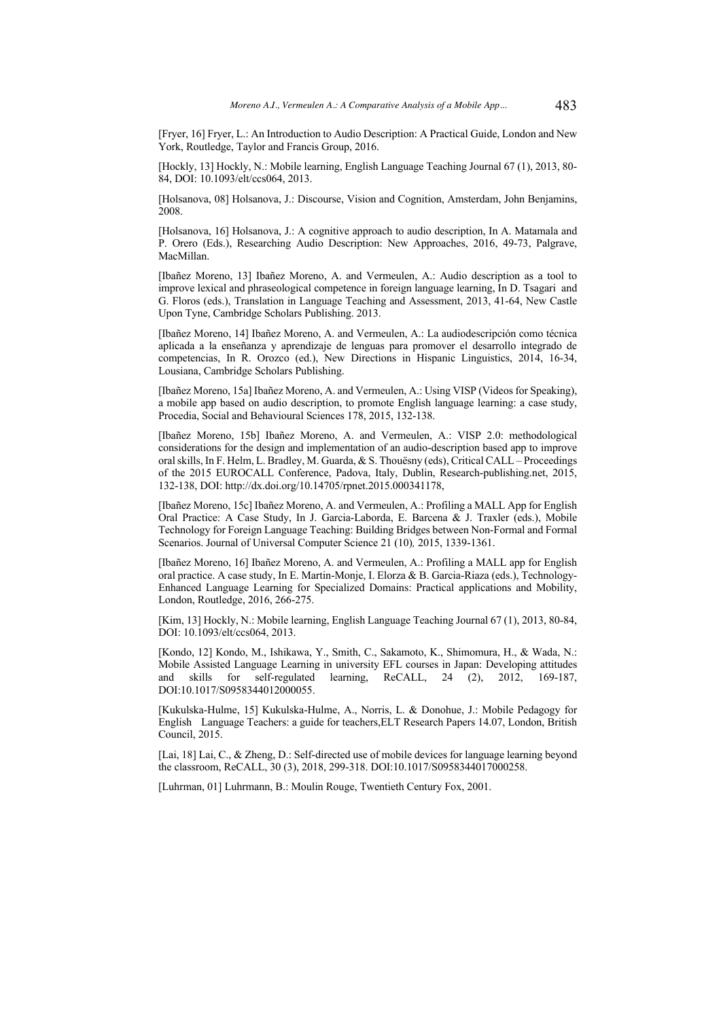[Fryer, 16] Fryer, L.: An Introduction to Audio Description: A Practical Guide, London and New York, Routledge, Taylor and Francis Group, 2016.

[Hockly, 13] Hockly, N.: Mobile learning, English Language Teaching Journal 67 (1), 2013, 80- 84, DOI: 10.1093/elt/ccs064, 2013.

[Holsanova, 08] Holsanova, J.: Discourse, Vision and Cognition, Amsterdam, John Benjamins, 2008.

[Holsanova, 16] Holsanova, J.: A cognitive approach to audio description, In A. Matamala and P. Orero (Eds.), Researching Audio Description: New Approaches, 2016, 49-73, Palgrave, MacMillan.

[Ibañez Moreno, 13] Ibañez Moreno, A. and Vermeulen, A.: Audio description as a tool to improve lexical and phraseological competence in foreign language learning, In D. Tsagari and G. Floros (eds.), Translation in Language Teaching and Assessment, 2013, 41-64, New Castle Upon Tyne, Cambridge Scholars Publishing. 2013.

[Ibañez Moreno, 14] Ibañez Moreno, A. and Vermeulen, A.: La audiodescripción como técnica aplicada a la enseñanza y aprendizaje de lenguas para promover el desarrollo integrado de competencias, In R. Orozco (ed.), New Directions in Hispanic Linguistics, 2014, 16-34, Lousiana, Cambridge Scholars Publishing.

[Ibañez Moreno, 15a] Ibañez Moreno, A. and Vermeulen, A.: Using VISP (Videos for Speaking), a mobile app based on audio description, to promote English language learning: a case study, Procedia, Social and Behavioural Sciences 178, 2015, 132-138.

[Ibañez Moreno, 15b] Ibañez Moreno, A. and Vermeulen, A.: VISP 2.0: methodological considerations for the design and implementation of an audio-description based app to improve oral skills, In F. Helm, L. Bradley, M. Guarda, & S. Thouësny (eds), Critical CALL – Proceedings of the 2015 EUROCALL Conference, Padova, Italy, Dublin, Research-publishing.net, 2015, 132-138, DOI: http://dx.doi.org/10.14705/rpnet.2015.000341178,

[Ibañez Moreno, 15c] Ibañez Moreno, A. and Vermeulen, A.: Profiling a MALL App for English Oral Practice: A Case Study, In J. Garcia-Laborda, E. Barcena & J. Traxler (eds.), Mobile Technology for Foreign Language Teaching: Building Bridges between Non-Formal and Formal Scenarios. Journal of Universal Computer Science 21 (10)*,* 2015, 1339-1361.

[Ibañez Moreno, 16] Ibañez Moreno, A. and Vermeulen, A.: Profiling a MALL app for English oral practice. A case study, In E. Martin-Monje, I. Elorza & B. Garcia-Riaza (eds.), Technology-Enhanced Language Learning for Specialized Domains: Practical applications and Mobility, London, Routledge, 2016, 266-275.

[Kim, 13] Hockly, N.: Mobile learning, English Language Teaching Journal 67 (1), 2013, 80-84, DOI: 10.1093/elt/ccs064, 2013.

[Kondo, 12] Kondo, M., Ishikawa, Y., Smith, C., Sakamoto, K., Shimomura, H., & Wada, N.: Mobile Assisted Language Learning in university EFL courses in Japan: Developing attitudes and skills for self-regulated learning, ReCALL, 24 (2), 2012, 169-187, DOI:10.1017/S0958344012000055.

[Kukulska-Hulme, 15] Kukulska-Hulme, A., Norris, L. & Donohue, J.: Mobile Pedagogy for English Language Teachers: a guide for teachers,ELT Research Papers 14.07, London, British Council, 2015.

[Lai, 18] Lai, C., & Zheng, D.: Self-directed use of mobile devices for language learning beyond the classroom, ReCALL, 30 (3), 2018, 299-318. DOI:10.1017/S0958344017000258.

[Luhrman, 01] Luhrmann, B.: Moulin Rouge, Twentieth Century Fox, 2001.